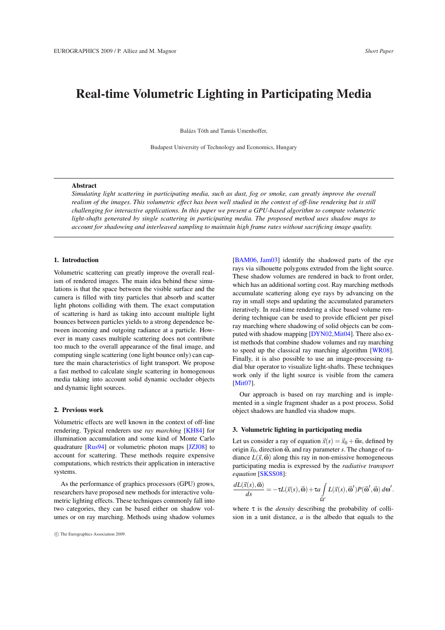# Real-time Volumetric Lighting in Participating Media

Balázs Tóth and Tamás Umenhoffer,

Budapest University of Technology and Economics, Hungary

# Abstract

*Simulating light scattering in participating media, such as dust, fog or smoke, can greatly improve the overall realism of the images. This volumetric effect has been well studied in the context of off-line rendering but is still challenging for interactive applications. In this paper we present a GPU-based algorithm to compute volumetric light-shafts generated by single scattering in participating media. The proposed method uses shadow maps to account for shadowing and interleaved sampling to maintain high frame rates without sacrificing image quality.*

# 1. Introduction

Volumetric scattering can greatly improve the overall realism of rendered images. The main idea behind these simulations is that the space between the visible surface and the camera is filled with tiny particles that absorb and scatter light photons colliding with them. The exact computation of scattering is hard as taking into account multiple light bounces between particles yields to a strong dependence between incoming and outgoing radiance at a particle. However in many cases multiple scattering does not contribute too much to the overall appearance of the final image, and computing single scattering (one light bounce only) can capture the main characteristics of light transport. We propose a fast method to calculate single scattering in homogenous media taking into account solid dynamic occluder objects and dynamic light sources.

## 2. Previous work

Volumetric effects are well known in the context of off-line rendering. Typical renderers use *ray marching* [KH84] for illumination accumulation and some kind of Monte Carlo quadrature [Rus94] or volumetric photon maps [JZJ08] to account for scattering. These methods require expensive computations, which restricts their application in interactive systems.

As the performance of graphics processors (GPU) grows, researchers have proposed new methods for interactive volumetric lighting effects. These techniques commonly fall into two categories, they can be based either on shadow volumes or on ray marching. Methods using shadow volumes [BAM06, Jam03] identify the shadowed parts of the eye rays via silhouette polygons extruded from the light source. These shadow volumes are rendered in back to front order, which has an additional sorting cost. Ray marching methods accumulate scattering along eye rays by advancing on the ray in small steps and updating the accumulated parameters iteratively. In real-time rendering a slice based volume rendering technique can be used to provide efficient per pixel ray marching where shadowing of solid objects can be computed with shadow mapping [DYN02, Mit04]. There also exist methods that combine shadow volumes and ray marching to speed up the classical ray marching algorithm [WR08]. Finally, it is also possible to use an image-processing radial blur operator to visualize light-shafts. These techniques work only if the light source is visible from the camera [Mit07].

Our approach is based on ray marching and is implemented in a single fragment shader as a post process. Solid object shadows are handled via shadow maps.

#### 3. Volumetric lighting in participating media

Let us consider a ray of equation  $\vec{x}(s) = \vec{x}_0 + \vec{\omega}s$ , defined by origin  $\vec{x}_0$ , direction  $\vec{\omega}$ , and ray parameter *s*. The change of radiance  $L(\vec{x}, \vec{\omega})$  along this ray in non-emissive homogeneous participating media is expressed by the *radiative transport equation* [SKSS08]:

$$
\frac{dL(\vec{x}(s),\vec{\omega})}{ds} = -\tau L(\vec{x}(s),\vec{\omega}) + \tau a \int_{\Omega'} L(\vec{x}(s),\vec{\omega}') P(\vec{\omega}',\vec{\omega}) d\omega'.
$$

where  $\tau$  is the *density* describing the probability of collision in a unit distance, *a* is the albedo that equals to the

<sup>°</sup>c The Eurographics Association 2009.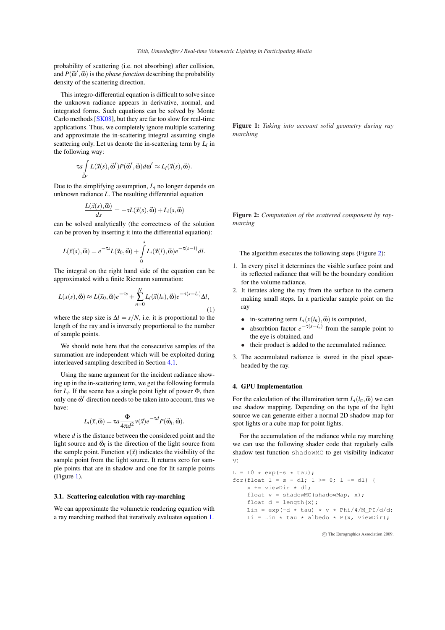probability of scattering (i.e. not absorbing) after collision, and  $P(\vec{\omega}', \vec{\omega})$  is the *phase function* describing the probability density of the scattering direction.

This integro-differential equation is difficult to solve since the unknown radiance appears in derivative, normal, and integrated forms. Such equations can be solved by Monte Carlo methods [SK08], but they are far too slow for real-time applications. Thus, we completely ignore multiple scattering and approximate the in-scattering integral assuming single scattering only. Let us denote the in-scattering term by *L<sup>i</sup>* in the following way:

$$
\tau a \int\limits_{\Omega'} L(\vec{x}(s), \vec{\omega}') P(\vec{\omega}', \vec{\omega}) d\omega' \approx L_i(\vec{x}(s), \vec{\omega}).
$$

Due to the simplifying assumption,  $L_i$  no longer depends on unknown radiance *L*. The resulting differential equation

$$
\frac{L(\vec{x}(s),\vec{\omega})}{ds} = -\tau L(\vec{x}(s),\vec{\omega}) + L_i(s,\vec{\omega})
$$

can be solved analytically (the correctness of the solution can be proven by inserting it into the differential equation):

$$
L(\vec{x}(s),\vec{\omega})=e^{-\tau s}L(\vec{x}_0,\vec{\omega})+\int\limits_0^s L_i(\vec{x}(l),\vec{\omega})e^{-\tau(s-l)}dl.
$$

The integral on the right hand side of the equation can be approximated with a finite Riemann summation:

$$
L(x(s),\vec{\omega}) \approx L(\vec{x}_0,\vec{\omega})e^{-\tau s} + \sum_{n=0}^{N} L_i(\vec{x}(l_n),\vec{\omega})e^{-\tau(s-l_n)}\Delta l,
$$
\n(1)

where the step size is  $\Delta l = s/N$ , i.e. it is proportional to the length of the ray and is inversely proportional to the number of sample points.

We should note here that the consecutive samples of the summation are independent which will be exploited during interleaved sampling described in Section 4.1.

Using the same argument for the incident radiance showing up in the in-scattering term, we get the following formula for  $L_i$ . If the scene has a single point light of power  $\Phi$ , then only one  $\vec{\omega}'$  direction needs to be taken into account, thus we have:

$$
L_i(\vec{x}, \vec{\omega}) = \tau a \frac{\Phi}{4\pi d^2} v(\vec{x}) e^{-\tau d} P(\vec{\omega}_l, \vec{\omega}).
$$

where *d* is the distance between the considered point and the light source and  $\vec{\omega}_l$  is the direction of the light source from the sample point. Function  $v(\vec{x})$  indicates the visibility of the sample point from the light source. It returns zero for sample points that are in shadow and one for lit sample points (Figure 1).

#### 3.1. Scattering calculation with ray-marching

We can approximate the volumetric rendering equation with a ray marching method that iteratively evaluates equation 1.

Figure 1: *Taking into account solid geometry during ray marching*

Figure 2: *Computation of the scattered component by raymarcing*

The algorithm executes the following steps (Figure 2):

- 1. In every pixel it determines the visible surface point and its reflected radiance that will be the boundary condition for the volume radiance.
- 2. It iterates along the ray from the surface to the camera making small steps. In a particular sample point on the ray
	- in-scattering term  $L_i(x(h), \vec{\omega})$  is computed,
	- absorbtion factor  $e^{-\tau(s-l_n)}$  from the sample point to the eye is obtained, and
	- their product is added to the accumulated radiance.
- 3. The accumulated radiance is stored in the pixel spearheaded by the ray.

## 4. GPU Implementation

For the calculation of the illumination term  $L_i(l_n,\vec{\omega})$  we can use shadow mapping. Depending on the type of the light source we can generate either a normal 2D shadow map for spot lights or a cube map for point lights.

For the accumulation of the radiance while ray marching we can use the following shader code that regularly calls shadow test function shadowMC to get visibility indicator v:

```
L = L0 * exp(-s * tau);for(float l = s - dl; l \ge 0; l = dl) {
x += viewDir * dl;
float v = shadowMC(shadowMap, x);
float d = length(x);
Lin = \exp(-d \times \tan) \times v \times \Phi^{-1}(4/M_PI/d/d);
Li = Lin * tau * albedo * P(x, viewDir);
```
°c The Eurographics Association 2009.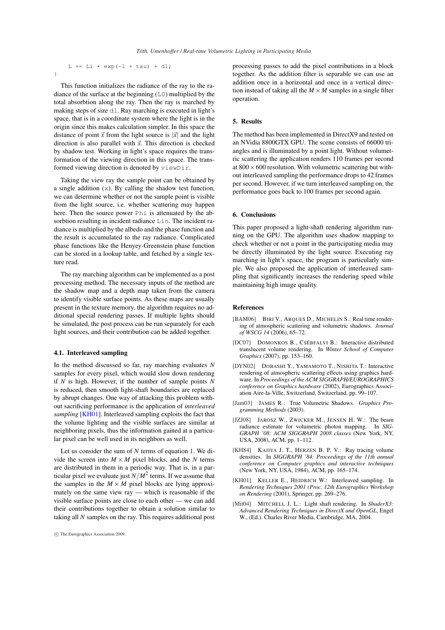L += Li \* exp(-1 \* tau) \* dl; }

This function initializes the radiance of the ray to the radiance of the surface at the beginning (L0) multiplied by the total absorbtion along the ray. Then the ray is marched by making steps of size dl. Ray marching is executed in light's space, that is in a coordinate system where the light is in the origin since this makes calculation simpler. In this space the distance of point  $\vec{x}$  from the light source is  $|\vec{x}|$  and the light direction is also parallel with  $\vec{x}$ . This direction is checked by shadow test. Working in light's space requires the transformation of the viewing direction in this space. The transformed viewing direction is denoted by viewDir.

Taking the view ray the sample point can be obtained by a single addition (x). By calling the shadow test function, we can determine whether or not the sample point is visible from the light source, i.e. whether scattering may happen here. Then the source power Phi is attenuated by the absorbtion resulting in incident radiance Lin. The incident radiance is multiplied by the albedo and the phase function and the result is accumulated to the ray radiance. Complicated phase functions like the Henyey-Greenstein phase function can be stored in a lookup table, and fetched by a single texture read.

The ray marching algorithm can be implemented as a post processing method. The necessary inputs of the method are the shadow map and a depth map taken from the camera to identify visible surface points. As these maps are usually present in the texture memory, the algorithm requires no additional special rendering passes. If multiple lights should be simulated, the post process can be run separately for each light sources, and their contribution can be added together.

#### 4.1. Interleaved sampling

In the method discussed so far, ray marching evaluates *N* samples for every pixel, which would slow down rendering if *N* is high. However, if the number of sample points *N* is reduced, then smooth light-shaft boundaries are replaced by abrupt changes. One way of attacking this problem without sacrificing performance is the application of *interleaved sampling* [KH01]. Interleaved sampling exploits the fact that the volume lighting and the visible surfaces are similar at neighboring pixels, thus the information gained at a particular pixel can be well used in its neighbors as well.

Let us consider the sum of *N* terms of equation 1. We divide the screen into  $M \times M$  pixel blocks, and the *N* terms are distributed in them in a periodic way. That is, in a particular pixel we evaluate just  $N/M^2$  terms. If we assume that the samples in the  $M \times M$  pixel blocks are lying approximately on the same view ray — which is reasonable if the visible surface points are close to each other — we can add their contributions together to obtain a solution similar to taking all *N* samples on the ray. This requires additional post

processing passes to add the pixel contributions in a block together. As the addition filter is separable we can use an addition once in a horizontal and once in a vertical direction instead of taking all the  $M \times M$  samples in a single filter operation.

## 5. Results

The method has been implemented in DirectX9 and tested on an NVidia 8800GTX GPU. The scene consists of 66000 triangles and is illuminated by a point light. Without volumetric scattering the application renders 110 frames per second at  $800 \times 600$  resolution. With volumetric scattering but without interleaved sampling the performance drops to 42 frames per second. However, if we turn interleaved sampling on, the performance goes back to 100 frames per second again.

#### 6. Conclusions

This paper proposed a light-shaft rendering algorithm running on the GPU. The algorithm uses shadow mapping to check whether or not a point in the participating media may be directly illuminated by the light source. Executing ray marching in light's space, the program is particularly simple. We also proposed the application of interleaved sampling that significantly increases the rendering speed while maintaining high image quality.

#### References

- [BAM06] BIRI V., ARQUES D., MICHELIN S.: Real time rendering of atmospheric scattering and volumetric shadows. *Journal of WSCG 14* (2006), 65–72.
- [DC07] DOMONKOS B., CSÉBFALVI B.: Interactive distributed translucent volume rendering. In *Winter School of Computer Graphics* (2007), pp. 153–160.
- [DYN02] DOBASHI Y., YAMAMOTO T., NISHITA T.: Interactive rendering of atmospheric scattering effects using graphics hardware. In *Proceedings of the ACM SIGGRAPH/EUROGRAPHICS conference on Graphics hardware* (2002), Eurographics Association Aire-la-Ville, Switzerland, Switzerland, pp. 99–107.
- [Jam03] JAMES R.: True Volumetric Shadows. *Graphics Programming Methods* (2003).
- [JZJ08] JAROSZ W., ZWICKER M., JENSEN H. W.: The beam radiance estimate for volumetric photon mapping. In *SIG-GRAPH '08: ACM SIGGRAPH 2008 classes* (New York, NY, USA, 2008), ACM, pp. 1–112.
- [KH84] KAJIYA J. T., HERZEN B. P. V.: Ray tracing volume densities. In *SIGGRAPH '84: Proceedings of the 11th annual conference on Computer graphics and interactive techniques* (New York, NY, USA, 1984), ACM, pp. 165–174.
- [KH01] KELLER E., HEIDRICH W.: Interleaved sampling. In *Rendering Techniques 2001 (Proc. 12th Eurographics Workshop on Rendering* (2001), Springer, pp. 269–276.
- [Mit04] MITCHELL J. L.: Light shaft rendering. In *ShaderX3*: *Advanced Rendering Techniques in DirectX and OpenGL*, Engel W., (Ed.). Charles River Media, Cambridge, MA, 2004.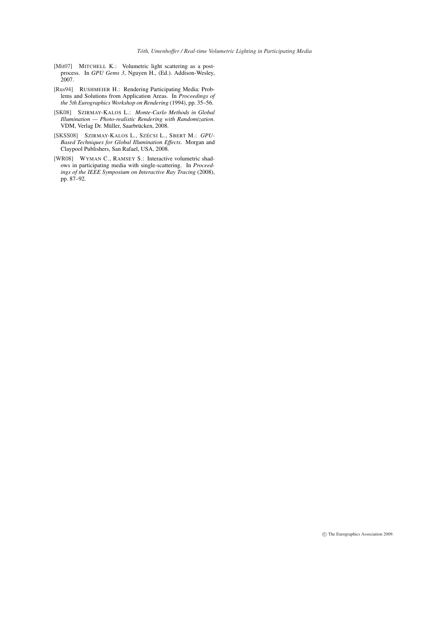- [Mit07] MITCHELL K.: Volumetric light scattering as a postprocess. In *GPU Gems 3*, Nguyen H., (Ed.). Addison-Wesley, 2007.
- [Rus94] RUSHMEIER H.: Rendering Participating Media: Problems and Solutions from Application Areas. In *Proceedings of the 5th Eurographics Workshop on Rendering* (1994), pp. 35–56.
- [SK08] SZIRMAY-KALOS L.: *Monte-Carlo Methods in Global Illumination — Photo-realistic Rendering with Randomization*. VDM, Verlag Dr. Müller, Saarbrücken, 2008.
- [SKSS08] SZIRMAY-KALOS L., SZÉCSI L., SBERT M.: *GPU-Based Techniques for Global Illumination Effects*. Morgan and Claypool Publishers, San Rafael, USA, 2008.
- [WR08] WYMAN C., RAMSEY S.: Interactive volumetric shadows in participating media with single-scattering. In *Proceedings of the IEEE Symposium on Interactive Ray Tracing* (2008), pp. 87–92.

°c The Eurographics Association 2009.